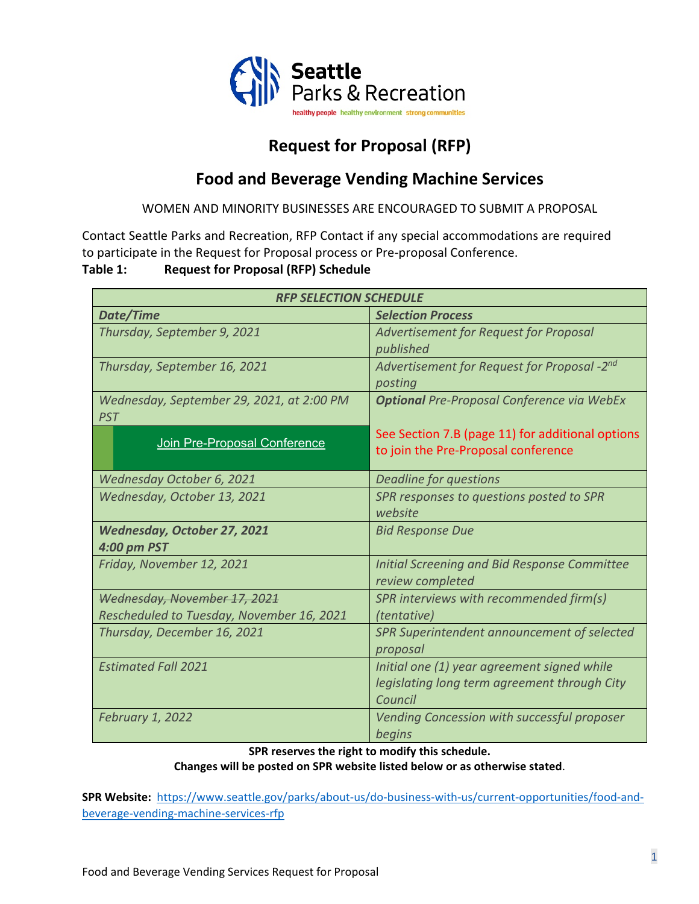

# **Request for Proposal (RFP)**

# **Food and Beverage Vending Machine Services**

WOMEN AND MINORITY BUSINESSES ARE ENCOURAGED TO SUBMIT A PROPOSAL

Contact Seattle Parks and Recreation, RFP Contact if any special accommodations are required to participate in the Request for Proposal process or Pre-proposal Conference.

#### **Table 1: Request for Proposal (RFP) Schedule**

| <b>RFP SELECTION SCHEDULE</b>                           |                                                                                         |  |  |
|---------------------------------------------------------|-----------------------------------------------------------------------------------------|--|--|
| Date/Time                                               | <b>Selection Process</b>                                                                |  |  |
| Thursday, September 9, 2021                             | <b>Advertisement for Request for Proposal</b>                                           |  |  |
|                                                         | published                                                                               |  |  |
| Thursday, September 16, 2021                            | Advertisement for Request for Proposal -2nd                                             |  |  |
|                                                         | posting                                                                                 |  |  |
| Wednesday, September 29, 2021, at 2:00 PM<br><b>PST</b> | <b>Optional Pre-Proposal Conference via WebEx</b>                                       |  |  |
| Join Pre-Proposal Conference                            | See Section 7.B (page 11) for additional options<br>to join the Pre-Proposal conference |  |  |
| Wednesday October 6, 2021                               | <b>Deadline for questions</b>                                                           |  |  |
| Wednesday, October 13, 2021                             | SPR responses to questions posted to SPR<br>website                                     |  |  |
| <b>Wednesday, October 27, 2021</b>                      | <b>Bid Response Due</b>                                                                 |  |  |
| 4:00 pm PST                                             |                                                                                         |  |  |
| Friday, November 12, 2021                               | <b>Initial Screening and Bid Response Committee</b><br>review completed                 |  |  |
| Wednesday, November 17, 2021                            | SPR interviews with recommended firm(s)                                                 |  |  |
| Rescheduled to Tuesday, November 16, 2021               | <i>(tentative)</i>                                                                      |  |  |
| Thursday, December 16, 2021                             | SPR Superintendent announcement of selected<br>proposal                                 |  |  |
| <b>Estimated Fall 2021</b>                              | Initial one (1) year agreement signed while                                             |  |  |
|                                                         | legislating long term agreement through City                                            |  |  |
|                                                         | Council                                                                                 |  |  |
| <b>February 1, 2022</b>                                 | Vending Concession with successful proposer                                             |  |  |
|                                                         | begins                                                                                  |  |  |

**SPR reserves the right to modify this schedule.**

**Changes will be posted on SPR website listed below or as otherwise stated**.

**SPR Website:** [https://www.seattle.gov/parks/about-us/do-business-with-us/current-opportunities/food-and](https://www.seattle.gov/parks/about-us/do-business-with-us/current-opportunities/food-and-beverage-vending-machine-services-rfp)[beverage-vending-machine-services-rfp](https://www.seattle.gov/parks/about-us/do-business-with-us/current-opportunities/food-and-beverage-vending-machine-services-rfp)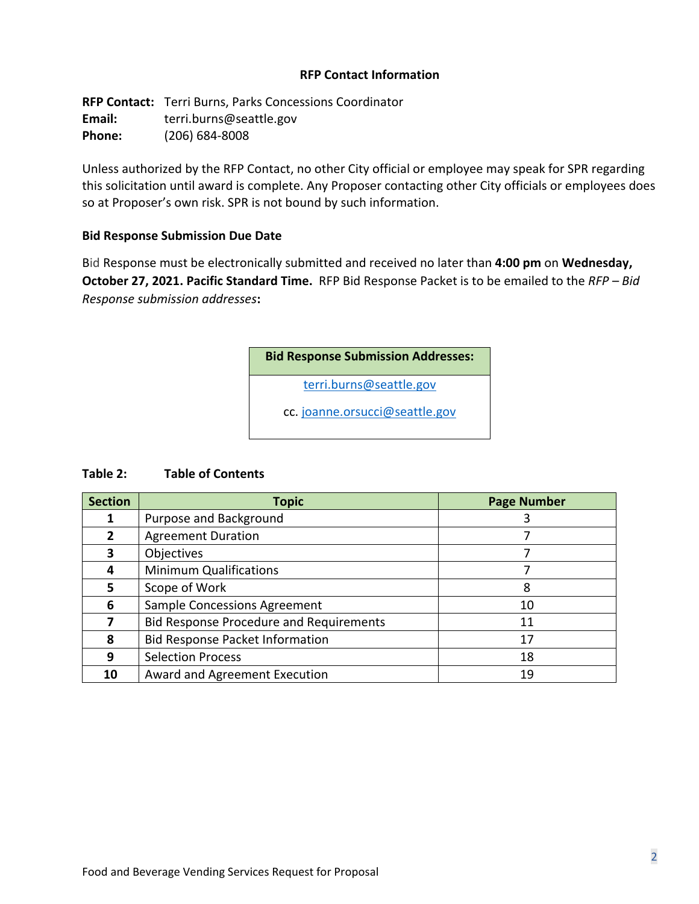#### **RFP Contact Information**

**RFP Contact:** Terri Burns, Parks Concessions Coordinator **Email:** terri.burns@seattle.gov **Phone:** (206) 684-8008

Unless authorized by the RFP Contact, no other City official or employee may speak for SPR regarding this solicitation until award is complete. Any Proposer contacting other City officials or employees does so at Proposer's own risk. SPR is not bound by such information.

#### **Bid Response Submission Due Date**

Bid Response must be electronically submitted and received no later than **4:00 pm** on **Wednesday, October 27, 2021. Pacific Standard Time.** RFP Bid Response Packet is to be emailed to the *RFP – Bid Response submission addresses***:**

**Bid Response Submission Addresses:**

[terri.burns@seattle.gov](mailto:terri.burns@seattle.gov)

cc. [joanne.orsucci@seattle.gov](mailto:joanne.orsucci@seattle.gov)

#### **Table 2: Table of Contents**

| <b>Section</b> | <b>Topic</b>                                   | <b>Page Number</b> |
|----------------|------------------------------------------------|--------------------|
|                | Purpose and Background                         |                    |
| $\mathbf{2}$   | <b>Agreement Duration</b>                      |                    |
|                | Objectives                                     |                    |
|                | <b>Minimum Qualifications</b>                  |                    |
| 5.             | Scope of Work                                  | 8                  |
| 6              | Sample Concessions Agreement                   | 10                 |
|                | <b>Bid Response Procedure and Requirements</b> | 11                 |
| 8              | <b>Bid Response Packet Information</b>         | 17                 |
| 9              | <b>Selection Process</b>                       | 18                 |
| 10             | Award and Agreement Execution                  | 19                 |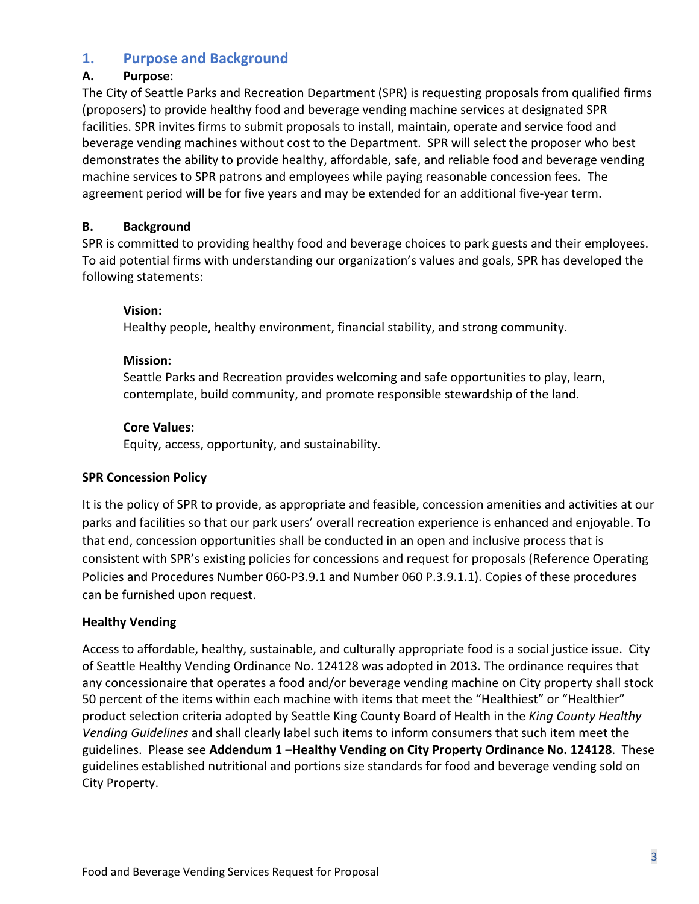## **1. Purpose and Background**

## **A. Purpose**:

The City of Seattle Parks and Recreation Department (SPR) is requesting proposals from qualified firms (proposers) to provide healthy food and beverage vending machine services at designated SPR facilities. SPR invites firms to submit proposals to install, maintain, operate and service food and beverage vending machines without cost to the Department. SPR will select the proposer who best demonstrates the ability to provide healthy, affordable, safe, and reliable food and beverage vending machine services to SPR patrons and employees while paying reasonable concession fees. The agreement period will be for five years and may be extended for an additional five-year term.

#### **B. Background**

SPR is committed to providing healthy food and beverage choices to park guests and their employees. To aid potential firms with understanding our organization's values and goals, SPR has developed the following statements:

#### **Vision:**

Healthy people, healthy environment, financial stability, and strong community.

#### **Mission:**

Seattle Parks and Recreation provides welcoming and safe opportunities to play, learn, contemplate, build community, and promote responsible stewardship of the land.

### **Core Values:**

Equity, access, opportunity, and sustainability.

#### **SPR Concession Policy**

It is the policy of SPR to provide, as appropriate and feasible, concession amenities and activities at our parks and facilities so that our park users' overall recreation experience is enhanced and enjoyable. To that end, concession opportunities shall be conducted in an open and inclusive process that is consistent with SPR's existing policies for concessions and request for proposals (Reference Operating Policies and Procedures Number 060-P3.9.1 and Number 060 P.3.9.1.1). Copies of these procedures can be furnished upon request.

#### **Healthy Vending**

Access to affordable, healthy, sustainable, and culturally appropriate food is a social justice issue. City of Seattle Healthy Vending Ordinance No. 124128 was adopted in 2013. The ordinance requires that any concessionaire that operates a food and/or beverage vending machine on City property shall stock 50 percent of the items within each machine with items that meet the "Healthiest" or "Healthier" product selection criteria adopted by Seattle King County Board of Health in the *King County Healthy Vending Guidelines* and shall clearly label such items to inform consumers that such item meet the guidelines. Please see **Addendum 1 –Healthy Vending on City Property Ordinance No. 124128**. These guidelines established nutritional and portions size standards for food and beverage vending sold on City Property.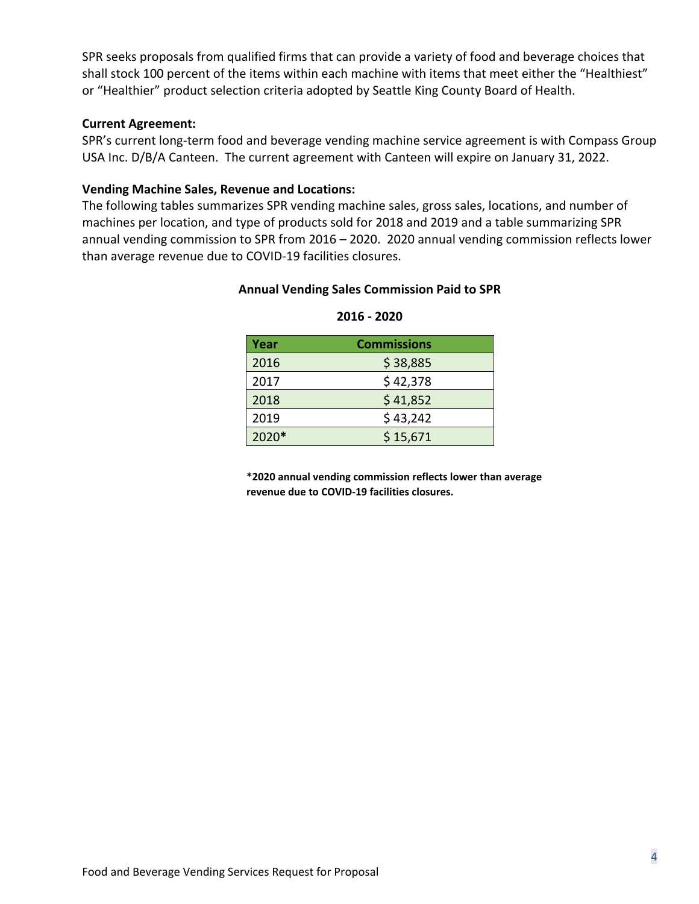SPR seeks proposals from qualified firms that can provide a variety of food and beverage choices that shall stock 100 percent of the items within each machine with items that meet either the "Healthiest" or "Healthier" product selection criteria adopted by Seattle King County Board of Health.

#### **Current Agreement:**

SPR's current long-term food and beverage vending machine service agreement is with Compass Group USA Inc. D/B/A Canteen. The current agreement with Canteen will expire on January 31, 2022.

#### **Vending Machine Sales, Revenue and Locations:**

The following tables summarizes SPR vending machine sales, gross sales, locations, and number of machines per location, and type of products sold for 2018 and 2019 and a table summarizing SPR annual vending commission to SPR from 2016 – 2020. 2020 annual vending commission reflects lower than average revenue due to COVID-19 facilities closures.

# **Annual Vending Sales Commission Paid to SPR 2016 - 2020**

| Year  | <b>Commissions</b> |
|-------|--------------------|
| 2016  | \$38,885           |
| 2017  | \$42,378           |
| 2018  | \$41,852           |
| 2019  | \$43,242           |
| 2020* | \$15,671           |

**\*2020 annual vending commission reflects lower than average revenue due to COVID-19 facilities closures.**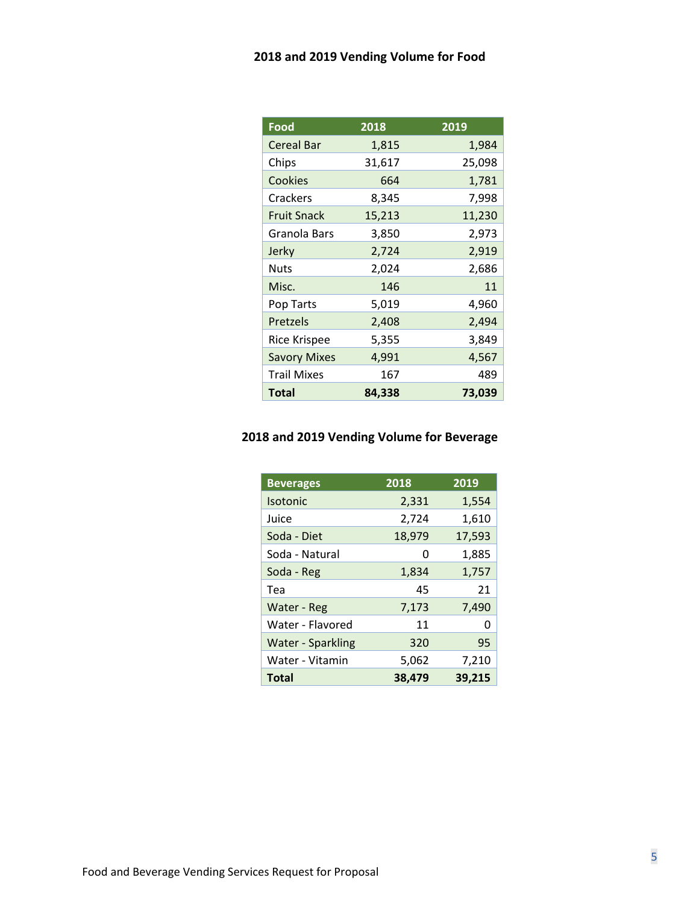# **2018 and 2019 Vending Volume for Food**

| Food                | 2018   | 2019   |
|---------------------|--------|--------|
| <b>Cereal Bar</b>   | 1,815  | 1,984  |
| Chips               | 31,617 | 25,098 |
| Cookies             | 664    | 1,781  |
| Crackers            | 8,345  | 7,998  |
| <b>Fruit Snack</b>  | 15,213 | 11,230 |
| Granola Bars        | 3,850  | 2,973  |
| Jerky               | 2,724  | 2,919  |
| Nuts                | 2,024  | 2,686  |
| Misc.               | 146    | 11     |
| Pop Tarts           | 5,019  | 4,960  |
| Pretzels            | 2,408  | 2,494  |
| <b>Rice Krispee</b> | 5,355  | 3,849  |
| <b>Savory Mixes</b> | 4,991  | 4,567  |
| <b>Trail Mixes</b>  | 167    | 489    |
| Total               | 84,338 | 73,039 |

## **2018 and 2019 Vending Volume for Beverage**

| <b>Beverages</b>         | 2018   | 2019   |
|--------------------------|--------|--------|
| <b>Isotonic</b>          | 2,331  | 1,554  |
| Juice                    | 2,724  | 1,610  |
| Soda - Diet              | 18,979 | 17,593 |
| Soda - Natural           | O      | 1,885  |
| Soda - Reg               | 1,834  | 1,757  |
| Tea                      | 45     | 21     |
| Water - Reg              | 7,173  | 7,490  |
| Water - Flavored         | 11     | O      |
| <b>Water - Sparkling</b> | 320    | 95     |
| Water - Vitamin          | 5,062  | 7,210  |
| <b>Total</b>             | 38.479 | 39,215 |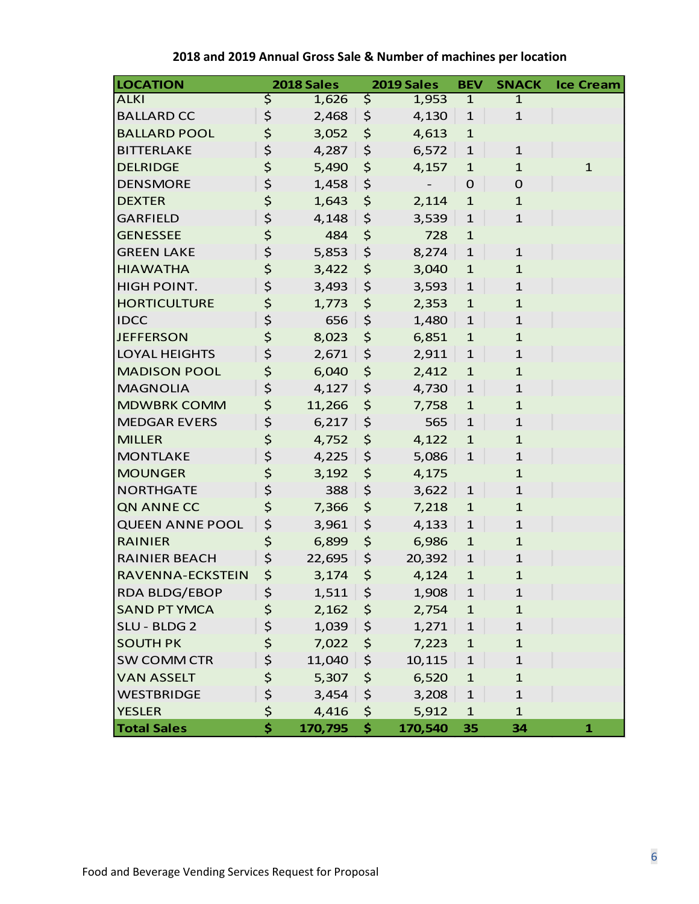| <b>LOCATION</b>        | 2018 Sales    |                          | 2019 Sales | <b>BEV</b>   | <b>SNACK</b> | <b>Ice Cream</b> |
|------------------------|---------------|--------------------------|------------|--------------|--------------|------------------|
| <b>ALKI</b>            | \$<br>1,626   | $\overline{\mathcal{S}}$ | 1,953      | $\mathbf{1}$ | $\mathbf{1}$ |                  |
| <b>BALLARD CC</b>      | \$<br>2,468   | \$                       | 4,130      | $\mathbf{1}$ | $\mathbf{1}$ |                  |
| <b>BALLARD POOL</b>    | \$<br>3,052   | \$                       | 4,613      | $\mathbf{1}$ |              |                  |
| <b>BITTERLAKE</b>      | \$<br>4,287   | \$                       | 6,572      | $\mathbf{1}$ | $\mathbf{1}$ |                  |
| <b>DELRIDGE</b>        | \$<br>5,490   | \$                       | 4,157      | $\mathbf{1}$ | $\mathbf{1}$ | $\mathbf{1}$     |
| <b>DENSMORE</b>        | \$<br>1,458   | \$                       |            | $\mathbf 0$  | $\mathbf{O}$ |                  |
| <b>DEXTER</b>          | \$<br>1,643   | \$                       | 2,114      | $\mathbf{1}$ | $\mathbf{1}$ |                  |
| <b>GARFIELD</b>        | \$<br>4,148   | \$                       | 3,539      | $\mathbf{1}$ | $\mathbf{1}$ |                  |
| <b>GENESSEE</b>        | \$<br>484     | $\varsigma$              | 728        | $\mathbf{1}$ |              |                  |
| <b>GREEN LAKE</b>      | \$<br>5,853   | \$                       | 8,274      | $\mathbf{1}$ | $\mathbf{1}$ |                  |
| <b>HIAWATHA</b>        | \$<br>3,422   | \$                       | 3,040      | $\mathbf{1}$ | $\mathbf{1}$ |                  |
| HIGH POINT.            | \$<br>3,493   | \$                       | 3,593      | $\mathbf{1}$ | $\mathbf{1}$ |                  |
| <b>HORTICULTURE</b>    | \$<br>1,773   | $\varsigma$              | 2,353      | $\mathbf{1}$ | $\mathbf{1}$ |                  |
| <b>IDCC</b>            | \$<br>656     | \$                       | 1,480      | $\mathbf{1}$ | $\mathbf{1}$ |                  |
| <b>JEFFERSON</b>       | \$<br>8,023   | \$                       | 6,851      | $\mathbf{1}$ | $\mathbf{1}$ |                  |
| <b>LOYAL HEIGHTS</b>   | \$<br>2,671   | \$                       | 2,911      | $\mathbf{1}$ | $\mathbf{1}$ |                  |
| <b>MADISON POOL</b>    | \$<br>6,040   | $\varsigma$              | 2,412      | $\mathbf{1}$ | $\mathbf{1}$ |                  |
| <b>MAGNOLIA</b>        | \$<br>4,127   | \$                       | 4,730      | $\mathbf{1}$ | $\mathbf{1}$ |                  |
| <b>MDWBRK COMM</b>     | \$<br>11,266  | \$                       | 7,758      | $\mathbf{1}$ | $\mathbf{1}$ |                  |
| <b>MEDGAR EVERS</b>    | \$<br>6,217   | \$                       | 565        | $\mathbf{1}$ | $\mathbf{1}$ |                  |
| <b>MILLER</b>          | \$<br>4,752   | \$                       | 4,122      | $\mathbf{1}$ | $\mathbf{1}$ |                  |
| <b>MONTLAKE</b>        | \$<br>4,225   | \$                       | 5,086      | $\mathbf{1}$ | $\mathbf{1}$ |                  |
| <b>MOUNGER</b>         | \$<br>3,192   | $\varsigma$              | 4,175      |              | $\mathbf{1}$ |                  |
| <b>NORTHGATE</b>       | \$<br>388     | \$                       | 3,622      | $\mathbf{1}$ | $\mathbf{1}$ |                  |
| <b>QN ANNE CC</b>      | \$<br>7,366   | \$                       | 7,218      | $\mathbf{1}$ | $\mathbf{1}$ |                  |
| <b>QUEEN ANNE POOL</b> | \$<br>3,961   | \$                       | 4,133      | $\mathbf{1}$ | $\mathbf{1}$ |                  |
| <b>RAINIER</b>         | \$<br>6,899   | \$                       | 6,986      | $\mathbf{1}$ | $\mathbf{1}$ |                  |
| <b>RAINIER BEACH</b>   | \$<br>22,695  | \$                       | 20,392     | $\mathbf{1}$ | $\mathbf{1}$ |                  |
| RAVENNA-ECKSTEIN       | \$<br>3,174   | \$                       | 4,124      | $\mathbf{1}$ | $\mathbf{1}$ |                  |
| <b>RDA BLDG/EBOP</b>   | \$<br>1,511   | \$                       | 1,908      | $\mathbf{1}$ | $\mathbf{1}$ |                  |
| <b>SAND PT YMCA</b>    | \$<br>2,162   | \$                       | 2,754      | $\mathbf{1}$ | $\mathbf{1}$ |                  |
| SLU - BLDG 2           | \$<br>1,039   | \$                       | 1,271      | $\mathbf{1}$ | $\mathbf{1}$ |                  |
| <b>SOUTH PK</b>        | \$<br>7,022   | \$                       | 7,223      | $\mathbf{1}$ | $\mathbf{1}$ |                  |
| <b>SW COMM CTR</b>     | \$<br>11,040  | \$                       | 10,115     | $\mathbf{1}$ | $\mathbf{1}$ |                  |
| <b>VAN ASSELT</b>      | \$<br>5,307   | \$                       | 6,520      | $\mathbf{1}$ | $\mathbf{1}$ |                  |
| <b>WESTBRIDGE</b>      | \$<br>3,454   | \$                       | 3,208      | $\mathbf{1}$ | $\mathbf{1}$ |                  |
| <b>YESLER</b>          | \$<br>4,416   | \$                       | 5,912      | $\mathbf{1}$ | $\mathbf{1}$ |                  |
| <b>Total Sales</b>     | \$<br>170,795 | \$                       | 170,540    | 35           | 34           | $\mathbf{1}$     |

**2018 and 2019 Annual Gross Sale & Number of machines per location**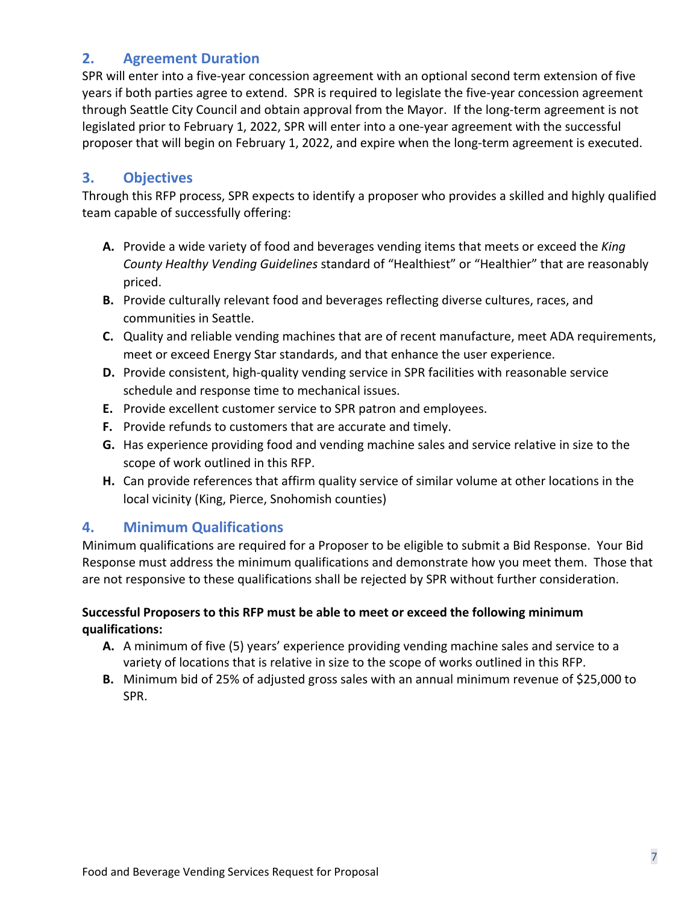## **2. Agreement Duration**

SPR will enter into a five-year concession agreement with an optional second term extension of five years if both parties agree to extend. SPR is required to legislate the five-year concession agreement through Seattle City Council and obtain approval from the Mayor. If the long-term agreement is not legislated prior to February 1, 2022, SPR will enter into a one-year agreement with the successful proposer that will begin on February 1, 2022, and expire when the long-term agreement is executed.

## **3. Objectives**

Through this RFP process, SPR expects to identify a proposer who provides a skilled and highly qualified team capable of successfully offering:

- **A.** Provide a wide variety of food and beverages vending items that meets or exceed the *King County Healthy Vending Guidelines* standard of "Healthiest" or "Healthier" that are reasonably priced.
- **B.** Provide culturally relevant food and beverages reflecting diverse cultures, races, and communities in Seattle.
- **C.** Quality and reliable vending machines that are of recent manufacture, meet ADA requirements, meet or exceed Energy Star standards, and that enhance the user experience.
- **D.** Provide consistent, high-quality vending service in SPR facilities with reasonable service schedule and response time to mechanical issues.
- **E.** Provide excellent customer service to SPR patron and employees.
- **F.** Provide refunds to customers that are accurate and timely.
- **G.** Has experience providing food and vending machine sales and service relative in size to the scope of work outlined in this RFP.
- **H.** Can provide references that affirm quality service of similar volume at other locations in the local vicinity (King, Pierce, Snohomish counties)

## **4. Minimum Qualifications**

Minimum qualifications are required for a Proposer to be eligible to submit a Bid Response. Your Bid Response must address the minimum qualifications and demonstrate how you meet them. Those that are not responsive to these qualifications shall be rejected by SPR without further consideration.

### **Successful Proposers to this RFP must be able to meet or exceed the following minimum qualifications:**

- **A.** A minimum of five (5) years' experience providing vending machine sales and service to a variety of locations that is relative in size to the scope of works outlined in this RFP.
- **B.** Minimum bid of 25% of adjusted gross sales with an annual minimum revenue of \$25,000 to SPR.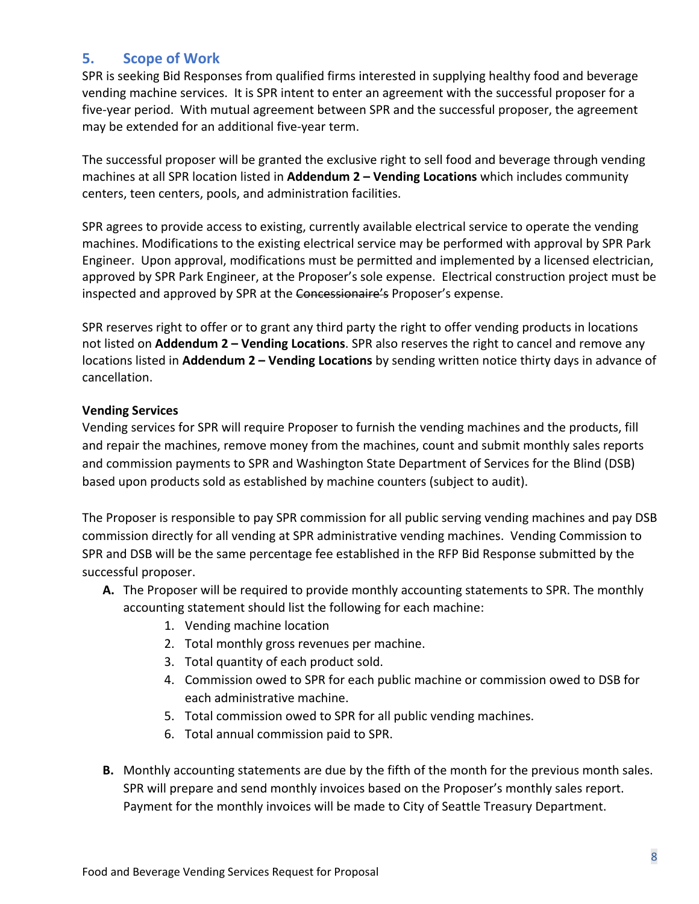## **5. Scope of Work**

SPR is seeking Bid Responses from qualified firms interested in supplying healthy food and beverage vending machine services. It is SPR intent to enter an agreement with the successful proposer for a five-year period. With mutual agreement between SPR and the successful proposer, the agreement may be extended for an additional five-year term.

The successful proposer will be granted the exclusive right to sell food and beverage through vending machines at all SPR location listed in **Addendum 2 – Vending Locations** which includes community centers, teen centers, pools, and administration facilities.

SPR agrees to provide access to existing, currently available electrical service to operate the vending machines. Modifications to the existing electrical service may be performed with approval by SPR Park Engineer. Upon approval, modifications must be permitted and implemented by a licensed electrician, approved by SPR Park Engineer, at the Proposer's sole expense. Electrical construction project must be inspected and approved by SPR at the Concessionaire's Proposer's expense.

SPR reserves right to offer or to grant any third party the right to offer vending products in locations not listed on **Addendum 2 – Vending Locations**. SPR also reserves the right to cancel and remove any locations listed in **Addendum 2 – Vending Locations** by sending written notice thirty days in advance of cancellation.

#### **Vending Services**

Vending services for SPR will require Proposer to furnish the vending machines and the products, fill and repair the machines, remove money from the machines, count and submit monthly sales reports and commission payments to SPR and Washington State Department of Services for the Blind (DSB) based upon products sold as established by machine counters (subject to audit).

The Proposer is responsible to pay SPR commission for all public serving vending machines and pay DSB commission directly for all vending at SPR administrative vending machines. Vending Commission to SPR and DSB will be the same percentage fee established in the RFP Bid Response submitted by the successful proposer.

- **A.** The Proposer will be required to provide monthly accounting statements to SPR. The monthly accounting statement should list the following for each machine:
	- 1. Vending machine location
	- 2. Total monthly gross revenues per machine.
	- 3. Total quantity of each product sold.
	- 4. Commission owed to SPR for each public machine or commission owed to DSB for each administrative machine.
	- 5. Total commission owed to SPR for all public vending machines.
	- 6. Total annual commission paid to SPR.
- **B.** Monthly accounting statements are due by the fifth of the month for the previous month sales. SPR will prepare and send monthly invoices based on the Proposer's monthly sales report. Payment for the monthly invoices will be made to City of Seattle Treasury Department.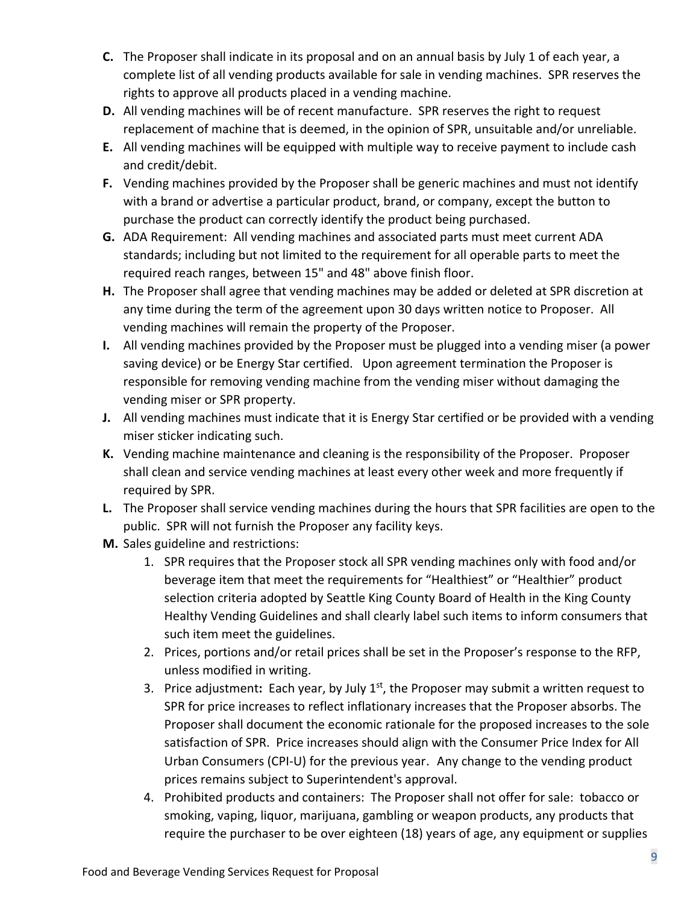- **C.** The Proposer shall indicate in its proposal and on an annual basis by July 1 of each year, a complete list of all vending products available for sale in vending machines. SPR reserves the rights to approve all products placed in a vending machine.
- **D.** All vending machines will be of recent manufacture. SPR reserves the right to request replacement of machine that is deemed, in the opinion of SPR, unsuitable and/or unreliable.
- **E.** All vending machines will be equipped with multiple way to receive payment to include cash and credit/debit.
- **F.** Vending machines provided by the Proposer shall be generic machines and must not identify with a brand or advertise a particular product, brand, or company, except the button to purchase the product can correctly identify the product being purchased.
- **G.** ADA Requirement: All vending machines and associated parts must meet current ADA standards; including but not limited to the requirement for all operable parts to meet the required reach ranges, between 15" and 48" above finish floor.
- **H.** The Proposer shall agree that vending machines may be added or deleted at SPR discretion at any time during the term of the agreement upon 30 days written notice to Proposer. All vending machines will remain the property of the Proposer.
- **I.** All vending machines provided by the Proposer must be plugged into a vending miser (a power saving device) or be Energy Star certified. Upon agreement termination the Proposer is responsible for removing vending machine from the vending miser without damaging the vending miser or SPR property.
- **J.** All vending machines must indicate that it is Energy Star certified or be provided with a vending miser sticker indicating such.
- **K.** Vending machine maintenance and cleaning is the responsibility of the Proposer. Proposer shall clean and service vending machines at least every other week and more frequently if required by SPR.
- **L.** The Proposer shall service vending machines during the hours that SPR facilities are open to the public. SPR will not furnish the Proposer any facility keys.
- **M.** Sales guideline and restrictions:
	- 1. SPR requires that the Proposer stock all SPR vending machines only with food and/or beverage item that meet the requirements for "Healthiest" or "Healthier" product selection criteria adopted by Seattle King County Board of Health in the King County Healthy Vending Guidelines and shall clearly label such items to inform consumers that such item meet the guidelines.
	- 2. Prices, portions and/or retail prices shall be set in the Proposer's response to the RFP, unless modified in writing.
	- 3. Price adjustment: Each year, by July 1<sup>st</sup>, the Proposer may submit a written request to SPR for price increases to reflect inflationary increases that the Proposer absorbs. The Proposer shall document the economic rationale for the proposed increases to the sole satisfaction of SPR. Price increases should align with the Consumer Price Index for All Urban Consumers (CPI-U) for the previous year. Any change to the vending product prices remains subject to Superintendent's approval.
	- 4. Prohibited products and containers: The Proposer shall not offer for sale: tobacco or smoking, vaping, liquor, marijuana, gambling or weapon products, any products that require the purchaser to be over eighteen (18) years of age, any equipment or supplies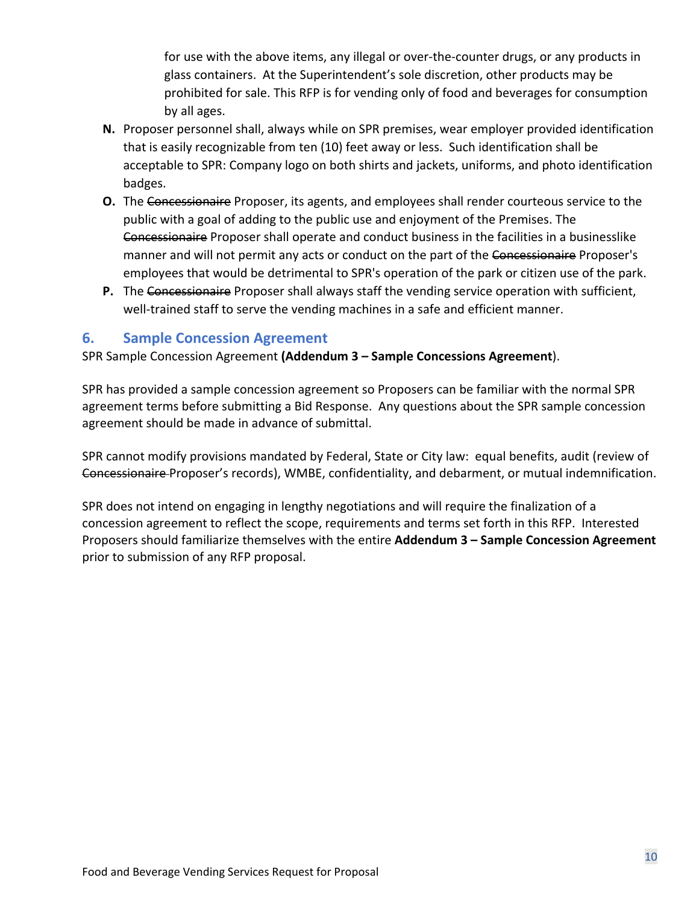for use with the above items, any illegal or over-the-counter drugs, or any products in glass containers. At the Superintendent's sole discretion, other products may be prohibited for sale. This RFP is for vending only of food and beverages for consumption by all ages.

- **N.** Proposer personnel shall, always while on SPR premises, wear employer provided identification that is easily recognizable from ten (10) feet away or less. Such identification shall be acceptable to SPR: Company logo on both shirts and jackets, uniforms, and photo identification badges.
- **O.** The Concessionaire Proposer, its agents, and employees shall render courteous service to the public with a goal of adding to the public use and enjoyment of the Premises. The Concessionaire Proposer shall operate and conduct business in the facilities in a businesslike manner and will not permit any acts or conduct on the part of the Concessionaire Proposer's employees that would be detrimental to SPR's operation of the park or citizen use of the park.
- **P.** The Concessionaire Proposer shall always staff the vending service operation with sufficient, well-trained staff to serve the vending machines in a safe and efficient manner.

### **6. Sample Concession Agreement**

SPR Sample Concession Agreement **(Addendum 3 – Sample Concessions Agreement**).

SPR has provided a sample concession agreement so Proposers can be familiar with the normal SPR agreement terms before submitting a Bid Response. Any questions about the SPR sample concession agreement should be made in advance of submittal.

SPR cannot modify provisions mandated by Federal, State or City law: equal benefits, audit (review of Concessionaire Proposer's records), WMBE, confidentiality, and debarment, or mutual indemnification.

SPR does not intend on engaging in lengthy negotiations and will require the finalization of a concession agreement to reflect the scope, requirements and terms set forth in this RFP. Interested Proposers should familiarize themselves with the entire **Addendum 3 – Sample Concession Agreement** prior to submission of any RFP proposal.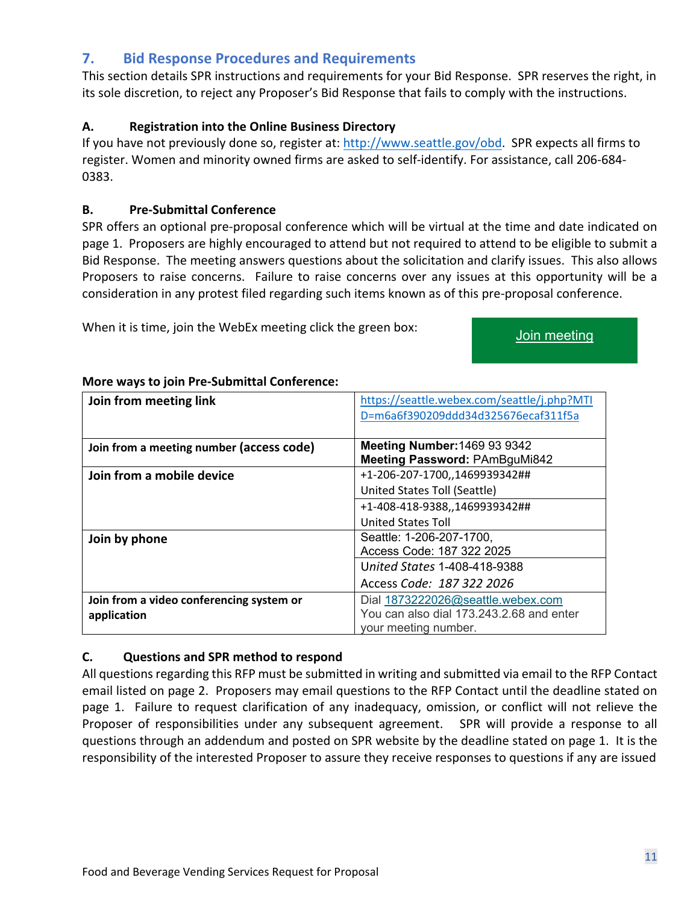## **7. Bid Response Procedures and Requirements**

This section details SPR instructions and requirements for your Bid Response. SPR reserves the right, in its sole discretion, to reject any Proposer's Bid Response that fails to comply with the instructions.

### **A. Registration into the Online Business Directory**

If you have not previously done so, register at: [http://www.seattle.gov/obd.](http://www.seattle.gov/obd) SPR expects all firms to register. Women and minority owned firms are asked to self-identify. For assistance, call 206-684- 0383.

#### **B. Pre-Submittal Conference**

SPR offers an optional pre-proposal conference which will be virtual at the time and date indicated on page 1. Proposers are highly encouraged to attend but not required to attend to be eligible to submit a Bid Response. The meeting answers questions about the solicitation and clarify issues. This also allows Proposers to raise concerns. Failure to raise concerns over any issues at this opportunity will be a consideration in any protest filed regarding such items known as of this pre-proposal conference.

When it is time, join the WebEx meeting click the green box:

[Join meeting](https://seattle.webex.com/seattle/j.php?MTID=m6a6f390209ddd34d325676ecaf311f5a)

| Join from meeting link                                  | https://seattle.webex.com/seattle/j.php?MTI<br>D=m6a6f390209ddd34d325676ecaf311f5a                    |
|---------------------------------------------------------|-------------------------------------------------------------------------------------------------------|
| Join from a meeting number (access code)                | <b>Meeting Number: 1469 93 9342</b><br>Meeting Password: PAmBguMi842                                  |
| Join from a mobile device                               | +1-206-207-1700,,1469939342##<br>United States Toll (Seattle)                                         |
|                                                         | +1-408-418-9388,,1469939342##<br><b>United States Toll</b>                                            |
| Join by phone                                           | Seattle: 1-206-207-1700,<br>Access Code: 187 322 2025                                                 |
|                                                         | United States 1-408-418-9388<br>Access Code: 187 322 2026                                             |
| Join from a video conferencing system or<br>application | Dial 1873222026@seattle.webex.com<br>You can also dial 173.243.2.68 and enter<br>your meeting number. |

#### **More ways to join Pre-Submittal Conference:**

#### **C. Questions and SPR method to respond**

All questions regarding this RFP must be submitted in writing and submitted via email to the RFP Contact email listed on page 2. Proposers may email questions to the RFP Contact until the deadline stated on page 1. Failure to request clarification of any inadequacy, omission, or conflict will not relieve the Proposer of responsibilities under any subsequent agreement. SPR will provide a response to all questions through an addendum and posted on SPR website by the deadline stated on page 1. It is the responsibility of the interested Proposer to assure they receive responses to questions if any are issued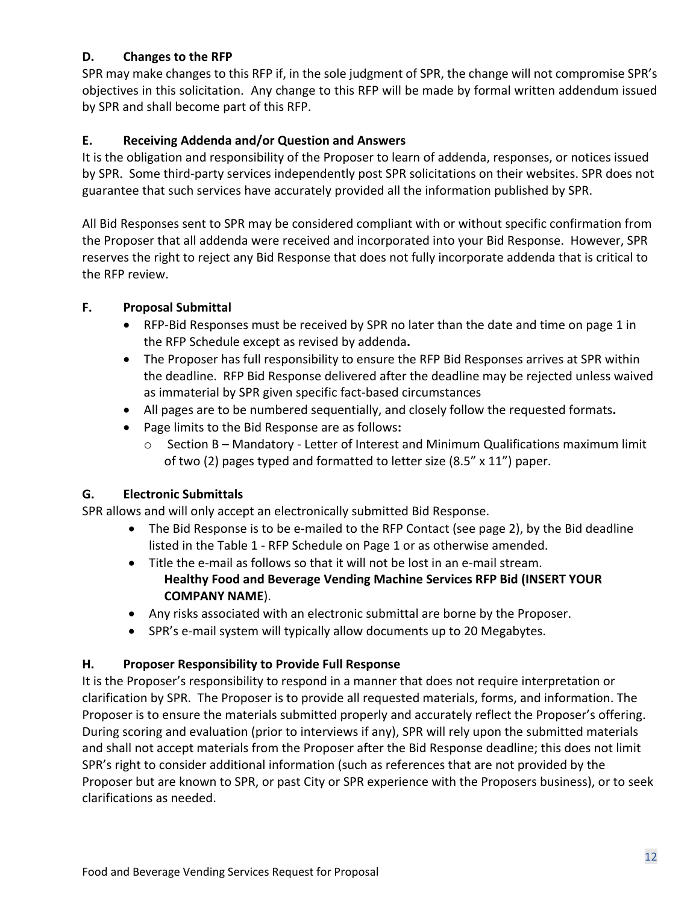### **D. Changes to the RFP**

SPR may make changes to this RFP if, in the sole judgment of SPR, the change will not compromise SPR's objectives in this solicitation. Any change to this RFP will be made by formal written addendum issued by SPR and shall become part of this RFP.

### **E. Receiving Addenda and/or Question and Answers**

It is the obligation and responsibility of the Proposer to learn of addenda, responses, or notices issued by SPR. Some third-party services independently post SPR solicitations on their websites. SPR does not guarantee that such services have accurately provided all the information published by SPR.

All Bid Responses sent to SPR may be considered compliant with or without specific confirmation from the Proposer that all addenda were received and incorporated into your Bid Response. However, SPR reserves the right to reject any Bid Response that does not fully incorporate addenda that is critical to the RFP review.

### **F. Proposal Submittal**

- RFP-Bid Responses must be received by SPR no later than the date and time on page 1 in the RFP Schedule except as revised by addenda**.**
- The Proposer has full responsibility to ensure the RFP Bid Responses arrives at SPR within the deadline. RFP Bid Response delivered after the deadline may be rejected unless waived as immaterial by SPR given specific fact-based circumstances
- All pages are to be numbered sequentially, and closely follow the requested formats**.**
- Page limits to the Bid Response are as follows**:**
	- o Section B Mandatory Letter of Interest and Minimum Qualifications maximum limit of two (2) pages typed and formatted to letter size (8.5" x 11") paper.

#### **G. Electronic Submittals**

SPR allows and will only accept an electronically submitted Bid Response.

- The Bid Response is to be e-mailed to the RFP Contact (see page 2), by the Bid deadline listed in the Table 1 - RFP Schedule on Page 1 or as otherwise amended.
- Title the e-mail as follows so that it will not be lost in an e-mail stream. **Healthy Food and Beverage Vending Machine Services RFP Bid (INSERT YOUR COMPANY NAME**).
- Any risks associated with an electronic submittal are borne by the Proposer.
- SPR's e-mail system will typically allow documents up to 20 Megabytes.

#### **H. Proposer Responsibility to Provide Full Response**

It is the Proposer's responsibility to respond in a manner that does not require interpretation or clarification by SPR. The Proposer is to provide all requested materials, forms, and information. The Proposer is to ensure the materials submitted properly and accurately reflect the Proposer's offering. During scoring and evaluation (prior to interviews if any), SPR will rely upon the submitted materials and shall not accept materials from the Proposer after the Bid Response deadline; this does not limit SPR's right to consider additional information (such as references that are not provided by the Proposer but are known to SPR, or past City or SPR experience with the Proposers business), or to seek clarifications as needed.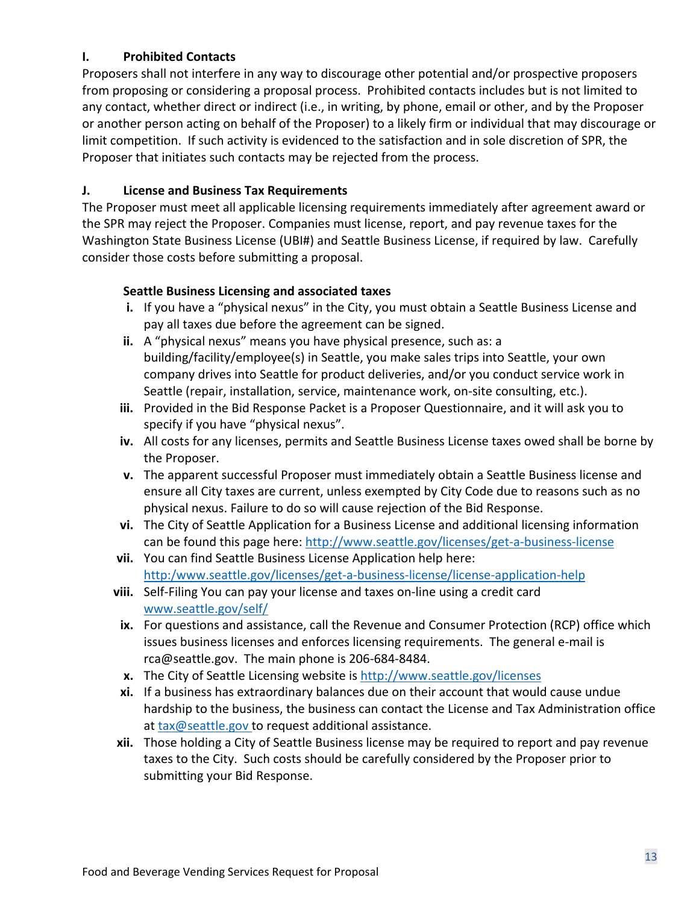### **I. Prohibited Contacts**

Proposers shall not interfere in any way to discourage other potential and/or prospective proposers from proposing or considering a proposal process. Prohibited contacts includes but is not limited to any contact, whether direct or indirect (i.e., in writing, by phone, email or other, and by the Proposer or another person acting on behalf of the Proposer) to a likely firm or individual that may discourage or limit competition. If such activity is evidenced to the satisfaction and in sole discretion of SPR, the Proposer that initiates such contacts may be rejected from the process.

#### **J. License and Business Tax Requirements**

The Proposer must meet all applicable licensing requirements immediately after agreement award or the SPR may reject the Proposer. Companies must license, report, and pay revenue taxes for the Washington State Business License (UBI#) and Seattle Business License, if required by law. Carefully consider those costs before submitting a proposal.

### **Seattle Business Licensing and associated taxes**

- **i.** If you have a "physical nexus" in the City, you must obtain a Seattle Business License and pay all taxes due before the agreement can be signed.
- **ii.** A "physical nexus" means you have physical presence, such as: a building/facility/employee(s) in Seattle, you make sales trips into Seattle, your own company drives into Seattle for product deliveries, and/or you conduct service work in Seattle (repair, installation, service, maintenance work, on-site consulting, etc.).
- **iii.** Provided in the Bid Response Packet is a Proposer Questionnaire, and it will ask you to specify if you have "physical nexus".
- **iv.** All costs for any licenses, permits and Seattle Business License taxes owed shall be borne by the Proposer.
- **v.** The apparent successful Proposer must immediately obtain a Seattle Business license and ensure all City taxes are current, unless exempted by City Code due to reasons such as no physical nexus. Failure to do so will cause rejection of the Bid Response.
- **vi.** The City of Seattle Application for a Business License and additional licensing information can be found this page here:<http://www.seattle.gov/licenses/get-a-business-license>
- **vii.** You can find Seattle Business License Application help here: [http:/www.seattle.gov/licenses/get-a-business-license/license-application-help](http://www.seattle.gov/licenses/get-a-business-license/license-application-help)
- **viii.** Self-Filing You can pay your license and taxes on-line using a credit card [www.seattle.gov/self/](https://seattlegov-my.sharepoint.com/personal/terri_burns_seattle_gov/Documents/www.seattle.gov/self/)
- **ix.** For questions and assistance, call the Revenue and Consumer Protection (RCP) office which issues business licenses and enforces licensing requirements. The general e-mail is rca@seattle.gov. The main phone is 206-684-8484.
- **x.** The City of Seattle Licensing website is<http://www.seattle.gov/licenses>
- **xi.** If a business has extraordinary balances due on their account that would cause undue hardship to the business, the business can contact the License and Tax Administration office at [tax@seattle.gov](mailto:tax@seattle.gov) to request additional assistance.
- **xii.** Those holding a City of Seattle Business license may be required to report and pay revenue taxes to the City. Such costs should be carefully considered by the Proposer prior to submitting your Bid Response.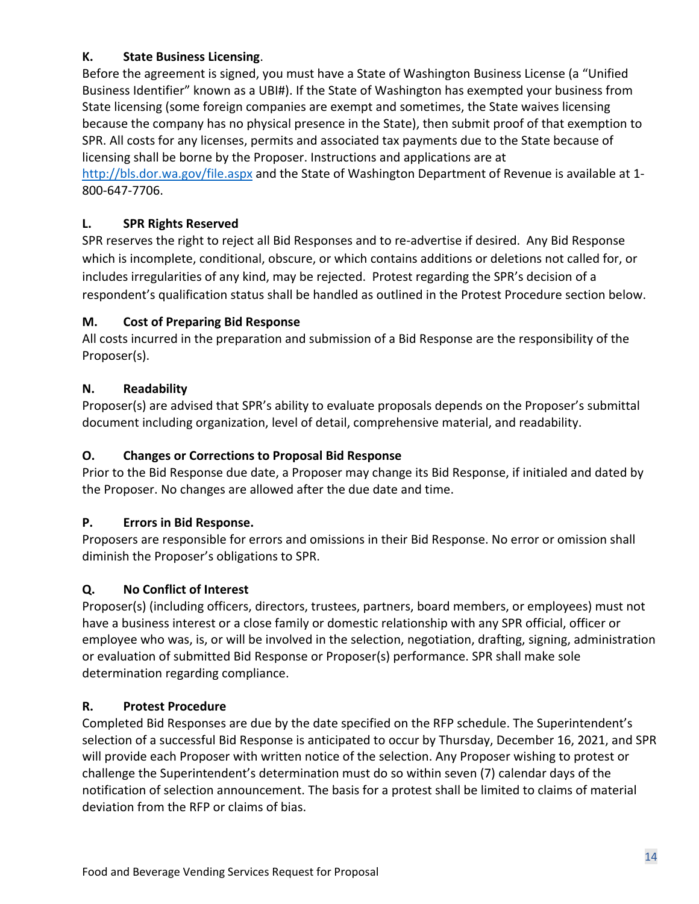## **K. State Business Licensing**.

Before the agreement is signed, you must have a State of Washington Business License (a "Unified Business Identifier" known as a UBI#). If the State of Washington has exempted your business from State licensing (some foreign companies are exempt and sometimes, the State waives licensing because the company has no physical presence in the State), then submit proof of that exemption to SPR. All costs for any licenses, permits and associated tax payments due to the State because of licensing shall be borne by the Proposer. Instructions and applications are at <http://bls.dor.wa.gov/file.aspx> and the State of Washington Department of Revenue is available at 1- 800-647-7706.

#### **L. SPR Rights Reserved**

SPR reserves the right to reject all Bid Responses and to re-advertise if desired. Any Bid Response which is incomplete, conditional, obscure, or which contains additions or deletions not called for, or includes irregularities of any kind, may be rejected. Protest regarding the SPR's decision of a respondent's qualification status shall be handled as outlined in the Protest Procedure section below.

#### **M. Cost of Preparing Bid Response**

All costs incurred in the preparation and submission of a Bid Response are the responsibility of the Proposer(s).

#### **N. Readability**

Proposer(s) are advised that SPR's ability to evaluate proposals depends on the Proposer's submittal document including organization, level of detail, comprehensive material, and readability.

#### **O. Changes or Corrections to Proposal Bid Response**

Prior to the Bid Response due date, a Proposer may change its Bid Response, if initialed and dated by the Proposer. No changes are allowed after the due date and time.

#### **P. Errors in Bid Response.**

Proposers are responsible for errors and omissions in their Bid Response. No error or omission shall diminish the Proposer's obligations to SPR.

#### **Q. No Conflict of Interest**

Proposer(s) (including officers, directors, trustees, partners, board members, or employees) must not have a business interest or a close family or domestic relationship with any SPR official, officer or employee who was, is, or will be involved in the selection, negotiation, drafting, signing, administration or evaluation of submitted Bid Response or Proposer(s) performance. SPR shall make sole determination regarding compliance.

#### **R. Protest Procedure**

Completed Bid Responses are due by the date specified on the RFP schedule. The Superintendent's selection of a successful Bid Response is anticipated to occur by Thursday, December 16, 2021, and SPR will provide each Proposer with written notice of the selection. Any Proposer wishing to protest or challenge the Superintendent's determination must do so within seven (7) calendar days of the notification of selection announcement. The basis for a protest shall be limited to claims of material deviation from the RFP or claims of bias.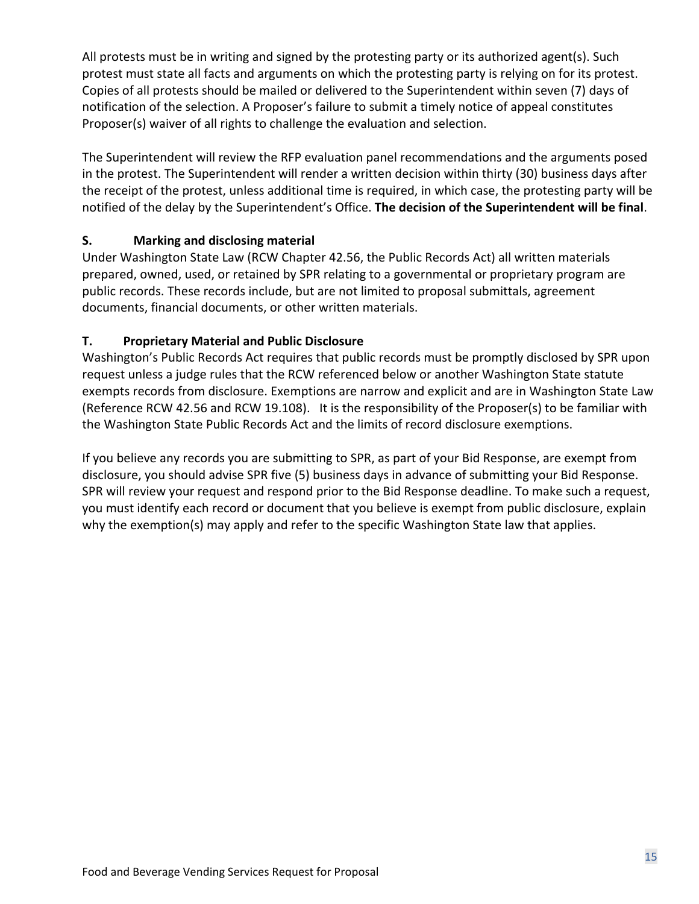All protests must be in writing and signed by the protesting party or its authorized agent(s). Such protest must state all facts and arguments on which the protesting party is relying on for its protest. Copies of all protests should be mailed or delivered to the Superintendent within seven (7) days of notification of the selection. A Proposer's failure to submit a timely notice of appeal constitutes Proposer(s) waiver of all rights to challenge the evaluation and selection.

The Superintendent will review the RFP evaluation panel recommendations and the arguments posed in the protest. The Superintendent will render a written decision within thirty (30) business days after the receipt of the protest, unless additional time is required, in which case, the protesting party will be notified of the delay by the Superintendent's Office. **The decision of the Superintendent will be final**.

## **S. Marking and disclosing material**

Under Washington State Law (RCW Chapter 42.56, the Public Records Act) all written materials prepared, owned, used, or retained by SPR relating to a governmental or proprietary program are public records. These records include, but are not limited to proposal submittals, agreement documents, financial documents, or other written materials.

#### **T. Proprietary Material and Public Disclosure**

Washington's Public Records Act requires that public records must be promptly disclosed by SPR upon request unless a judge rules that the RCW referenced below or another Washington State statute exempts records from disclosure. Exemptions are narrow and explicit and are in Washington State Law (Reference RCW 42.56 and RCW 19.108). It is the responsibility of the Proposer(s) to be familiar with the Washington State Public Records Act and the limits of record disclosure exemptions.

If you believe any records you are submitting to SPR, as part of your Bid Response, are exempt from disclosure, you should advise SPR five (5) business days in advance of submitting your Bid Response. SPR will review your request and respond prior to the Bid Response deadline. To make such a request, you must identify each record or document that you believe is exempt from public disclosure, explain why the exemption(s) may apply and refer to the specific Washington State law that applies.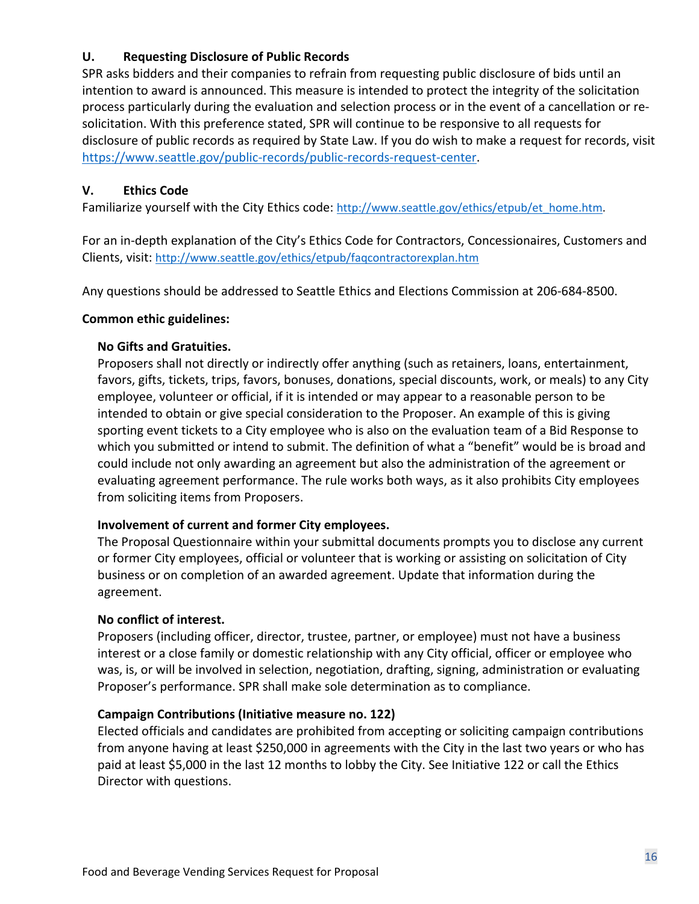#### **U. Requesting Disclosure of Public Records**

SPR asks bidders and their companies to refrain from requesting public disclosure of bids until an intention to award is announced. This measure is intended to protect the integrity of the solicitation process particularly during the evaluation and selection process or in the event of a cancellation or resolicitation. With this preference stated, SPR will continue to be responsive to all requests for disclosure of public records as required by State Law. If you do wish to make a request for records, visit [https://www.seattle.gov/public-records/public-records-request-center.](https://www.seattle.gov/public-records/public-records-request-center)

#### **V. Ethics Code**

Familiarize yourself with the City Ethics code: [http://www.seattle.gov/ethics/etpub/et\\_home.htm.](http://www.seattle.gov/ethics/etpub/et_home.htm)

For an in-depth explanation of the City's Ethics Code for Contractors, Concessionaires, Customers and Clients, visit: <http://www.seattle.gov/ethics/etpub/faqcontractorexplan.htm>

Any questions should be addressed to Seattle Ethics and Elections Commission at 206-684-8500.

#### **Common ethic guidelines:**

#### **No Gifts and Gratuities.**

Proposers shall not directly or indirectly offer anything (such as retainers, loans, entertainment, favors, gifts, tickets, trips, favors, bonuses, donations, special discounts, work, or meals) to any City employee, volunteer or official, if it is intended or may appear to a reasonable person to be intended to obtain or give special consideration to the Proposer. An example of this is giving sporting event tickets to a City employee who is also on the evaluation team of a Bid Response to which you submitted or intend to submit. The definition of what a "benefit" would be is broad and could include not only awarding an agreement but also the administration of the agreement or evaluating agreement performance. The rule works both ways, as it also prohibits City employees from soliciting items from Proposers.

#### **Involvement of current and former City employees.**

The Proposal Questionnaire within your submittal documents prompts you to disclose any current or former City employees, official or volunteer that is working or assisting on solicitation of City business or on completion of an awarded agreement. Update that information during the agreement.

#### **No conflict of interest.**

Proposers (including officer, director, trustee, partner, or employee) must not have a business interest or a close family or domestic relationship with any City official, officer or employee who was, is, or will be involved in selection, negotiation, drafting, signing, administration or evaluating Proposer's performance. SPR shall make sole determination as to compliance.

#### **Campaign Contributions (Initiative measure no. 122)**

Elected officials and candidates are prohibited from accepting or soliciting campaign contributions from anyone having at least \$250,000 in agreements with the City in the last two years or who has paid at least \$5,000 in the last 12 months to lobby the City. See Initiative 122 or call the Ethics Director with questions.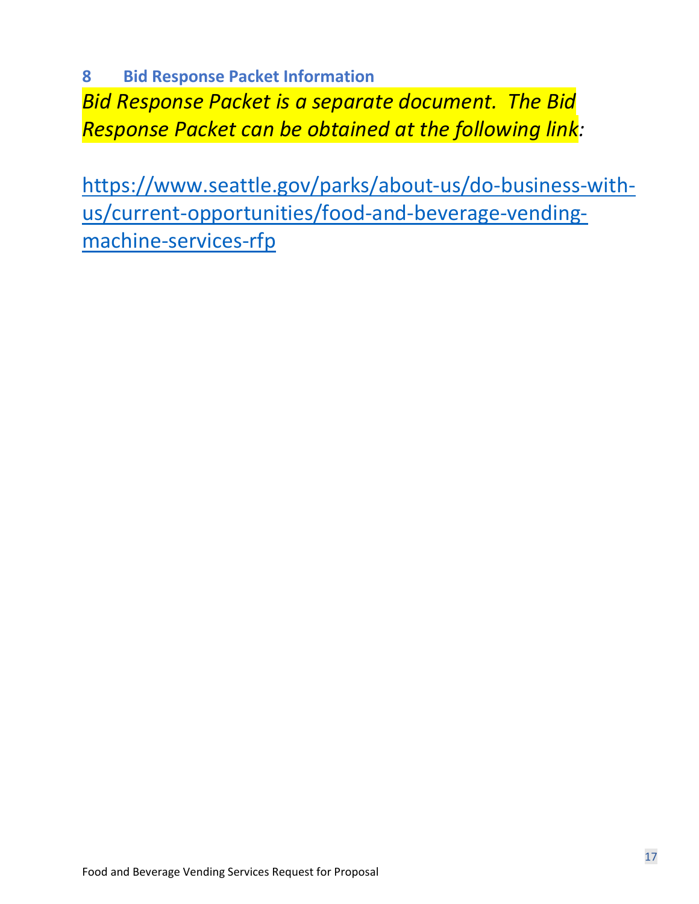**8 Bid Response Packet Information** *Bid Response Packet is a separate document. The Bid Response Packet can be obtained at the following link:*

[https://www.seattle.gov/parks/about-us/do-business-with](https://www.seattle.gov/parks/about-us/do-business-with-us/current-opportunities/food-and-beverage-vending-machine-services-rfp)[us/current-opportunities/food-and-beverage-vending](https://www.seattle.gov/parks/about-us/do-business-with-us/current-opportunities/food-and-beverage-vending-machine-services-rfp)[machine-services-rfp](https://www.seattle.gov/parks/about-us/do-business-with-us/current-opportunities/food-and-beverage-vending-machine-services-rfp)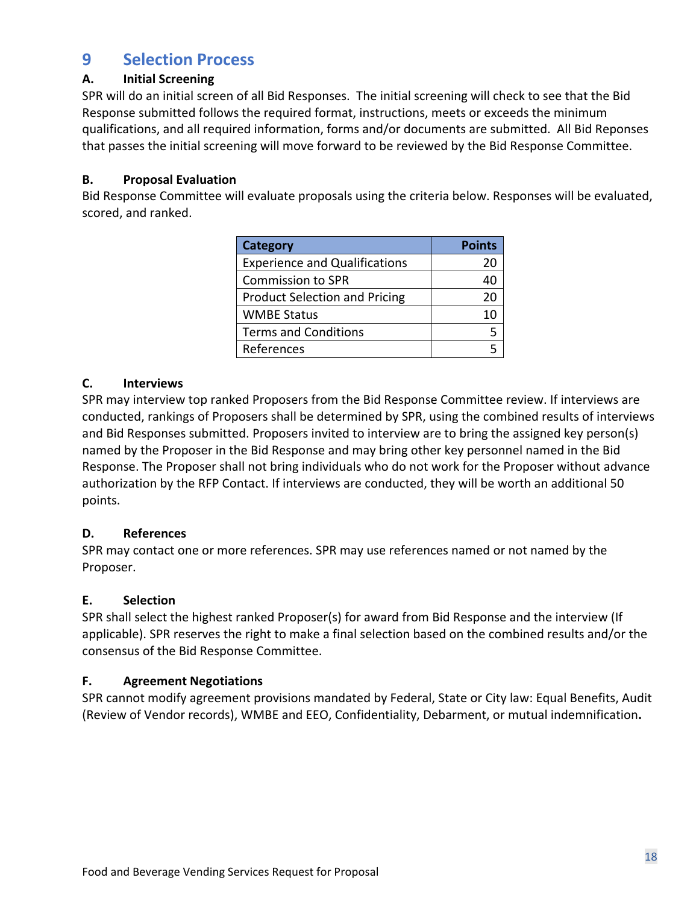# **9 Selection Process**

## **A. Initial Screening**

SPR will do an initial screen of all Bid Responses. The initial screening will check to see that the Bid Response submitted follows the required format, instructions, meets or exceeds the minimum qualifications, and all required information, forms and/or documents are submitted. All Bid Reponses that passes the initial screening will move forward to be reviewed by the Bid Response Committee.

## **B. Proposal Evaluation**

Bid Response Committee will evaluate proposals using the criteria below. Responses will be evaluated, scored, and ranked.

| <b>Category</b>                      | <b>Points</b> |
|--------------------------------------|---------------|
| <b>Experience and Qualifications</b> | 20            |
| <b>Commission to SPR</b>             | 40            |
| <b>Product Selection and Pricing</b> | 20            |
| <b>WMBE Status</b>                   | 10            |
| <b>Terms and Conditions</b>          |               |
| References                           |               |

## **C. Interviews**

SPR may interview top ranked Proposers from the Bid Response Committee review. If interviews are conducted, rankings of Proposers shall be determined by SPR, using the combined results of interviews and Bid Responses submitted. Proposers invited to interview are to bring the assigned key person(s) named by the Proposer in the Bid Response and may bring other key personnel named in the Bid Response. The Proposer shall not bring individuals who do not work for the Proposer without advance authorization by the RFP Contact. If interviews are conducted, they will be worth an additional 50 points.

## **D. References**

SPR may contact one or more references. SPR may use references named or not named by the Proposer.

## **E. Selection**

SPR shall select the highest ranked Proposer(s) for award from Bid Response and the interview (If applicable). SPR reserves the right to make a final selection based on the combined results and/or the consensus of the Bid Response Committee.

## **F. Agreement Negotiations**

SPR cannot modify agreement provisions mandated by Federal, State or City law: Equal Benefits, Audit (Review of Vendor records), WMBE and EEO, Confidentiality, Debarment, or mutual indemnification**.**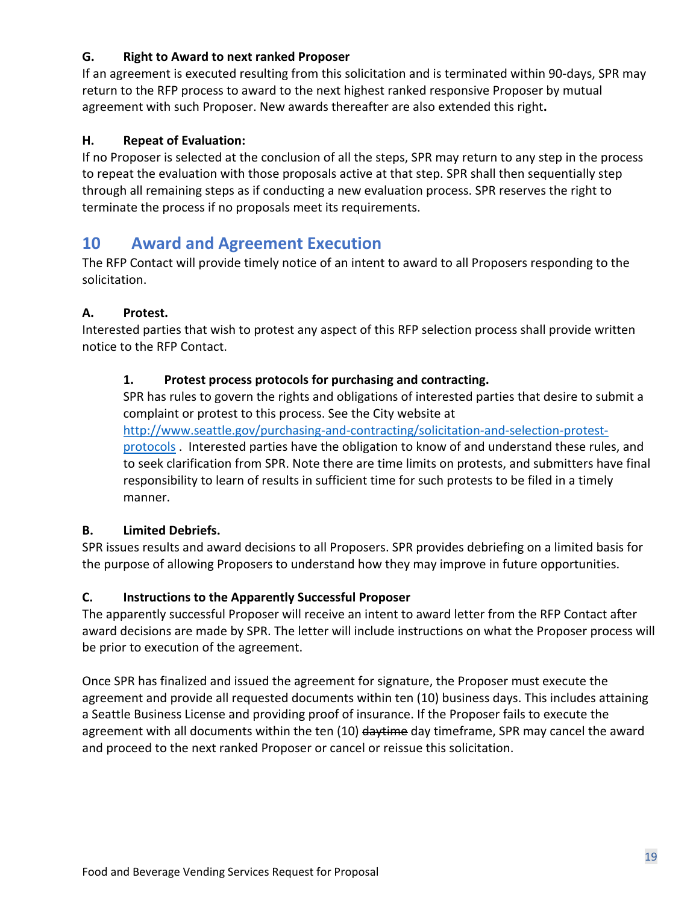## **G. Right to Award to next ranked Proposer**

If an agreement is executed resulting from this solicitation and is terminated within 90-days, SPR may return to the RFP process to award to the next highest ranked responsive Proposer by mutual agreement with such Proposer. New awards thereafter are also extended this right**.**

#### **H. Repeat of Evaluation:**

If no Proposer is selected at the conclusion of all the steps, SPR may return to any step in the process to repeat the evaluation with those proposals active at that step. SPR shall then sequentially step through all remaining steps as if conducting a new evaluation process. SPR reserves the right to terminate the process if no proposals meet its requirements.

# **10 Award and Agreement Execution**

The RFP Contact will provide timely notice of an intent to award to all Proposers responding to the solicitation.

### **A. Protest.**

Interested parties that wish to protest any aspect of this RFP selection process shall provide written notice to the RFP Contact.

### **1. Protest process protocols for purchasing and contracting.**

SPR has rules to govern the rights and obligations of interested parties that desire to submit a complaint or protest to this process. See the City website at [http://www.seattle.gov/purchasing-and-contracting/solicitation-and-selection-protest](http://www.seattle.gov/purchasing-and-contracting/solicitation-and-selection-protest-protocols)[protocols](http://www.seattle.gov/purchasing-and-contracting/solicitation-and-selection-protest-protocols) . Interested parties have the obligation to know of and understand these rules, and to seek clarification from SPR. Note there are time limits on protests, and submitters have final responsibility to learn of results in sufficient time for such protests to be filed in a timely manner.

## **B. Limited Debriefs.**

SPR issues results and award decisions to all Proposers. SPR provides debriefing on a limited basis for the purpose of allowing Proposers to understand how they may improve in future opportunities.

#### **C. Instructions to the Apparently Successful Proposer**

The apparently successful Proposer will receive an intent to award letter from the RFP Contact after award decisions are made by SPR. The letter will include instructions on what the Proposer process will be prior to execution of the agreement.

Once SPR has finalized and issued the agreement for signature, the Proposer must execute the agreement and provide all requested documents within ten (10) business days. This includes attaining a Seattle Business License and providing proof of insurance. If the Proposer fails to execute the agreement with all documents within the ten (10) davtime day timeframe, SPR may cancel the award and proceed to the next ranked Proposer or cancel or reissue this solicitation.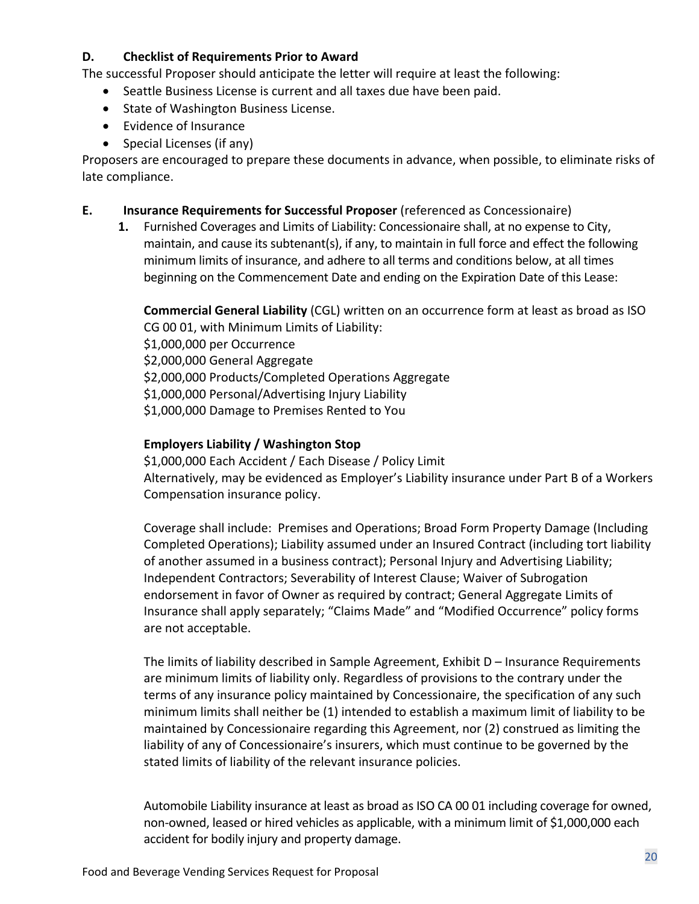#### **D. Checklist of Requirements Prior to Award**

The successful Proposer should anticipate the letter will require at least the following:

- Seattle Business License is current and all taxes due have been paid.
- State of Washington Business License.
- Evidence of Insurance
- Special Licenses (if any)

Proposers are encouraged to prepare these documents in advance, when possible, to eliminate risks of late compliance.

### **E. Insurance Requirements for Successful Proposer** (referenced as Concessionaire)

**1.** Furnished Coverages and Limits of Liability: Concessionaire shall, at no expense to City, maintain, and cause its subtenant(s), if any, to maintain in full force and effect the following minimum limits of insurance, and adhere to all terms and conditions below, at all times beginning on the Commencement Date and ending on the Expiration Date of this Lease:

**Commercial General Liability** (CGL) written on an occurrence form at least as broad as ISO CG 00 01, with Minimum Limits of Liability: \$1,000,000 per Occurrence \$2,000,000 General Aggregate \$2,000,000 Products/Completed Operations Aggregate \$1,000,000 Personal/Advertising Injury Liability

\$1,000,000 Damage to Premises Rented to You

### **Employers Liability / Washington Stop**

\$1,000,000 Each Accident / Each Disease / Policy Limit Alternatively, may be evidenced as Employer's Liability insurance under Part B of a Workers Compensation insurance policy.

Coverage shall include: Premises and Operations; Broad Form Property Damage (Including Completed Operations); Liability assumed under an Insured Contract (including tort liability of another assumed in a business contract); Personal Injury and Advertising Liability; Independent Contractors; Severability of Interest Clause; Waiver of Subrogation endorsement in favor of Owner as required by contract; General Aggregate Limits of Insurance shall apply separately; "Claims Made" and "Modified Occurrence" policy forms are not acceptable.

The limits of liability described in Sample Agreement, Exhibit D – Insurance Requirements are minimum limits of liability only. Regardless of provisions to the contrary under the terms of any insurance policy maintained by Concessionaire, the specification of any such minimum limits shall neither be (1) intended to establish a maximum limit of liability to be maintained by Concessionaire regarding this Agreement, nor (2) construed as limiting the liability of any of Concessionaire's insurers, which must continue to be governed by the stated limits of liability of the relevant insurance policies.

Automobile Liability insurance at least as broad as ISO CA 00 01 including coverage for owned, non-owned, leased or hired vehicles as applicable, with a minimum limit of \$1,000,000 each accident for bodily injury and property damage.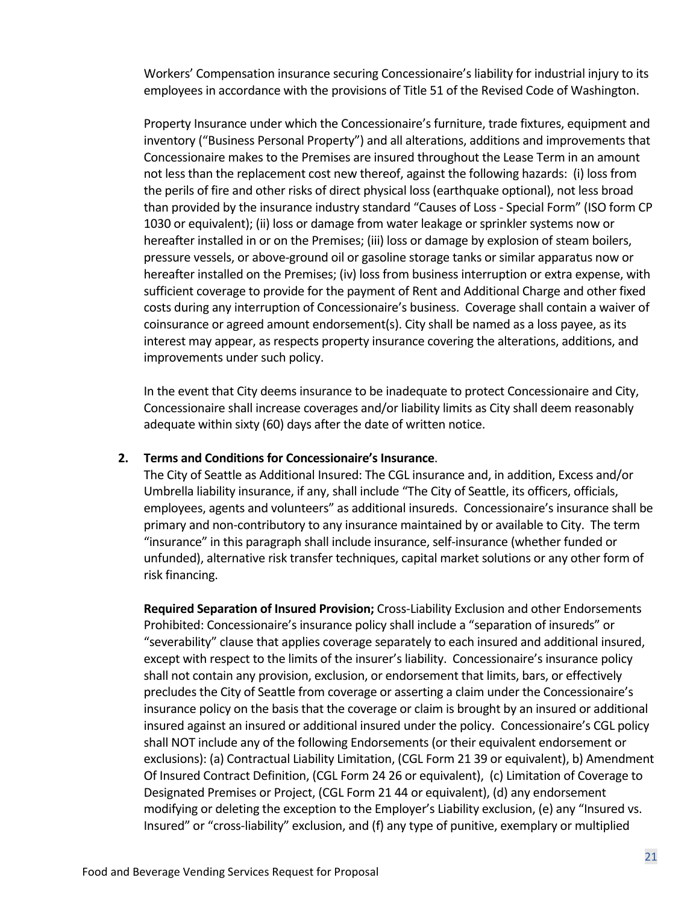Workers' Compensation insurance securing Concessionaire's liability for industrial injury to its employees in accordance with the provisions of Title 51 of the Revised Code of Washington.

Property Insurance under which the Concessionaire's furniture, trade fixtures, equipment and inventory ("Business Personal Property") and all alterations, additions and improvements that Concessionaire makes to the Premises are insured throughout the Lease Term in an amount not less than the replacement cost new thereof, against the following hazards: (i) loss from the perils of fire and other risks of direct physical loss (earthquake optional), not less broad than provided by the insurance industry standard "Causes of Loss - Special Form" (ISO form CP 1030 or equivalent); (ii) loss or damage from water leakage or sprinkler systems now or hereafter installed in or on the Premises; (iii) loss or damage by explosion of steam boilers, pressure vessels, or above-ground oil or gasoline storage tanks or similar apparatus now or hereafter installed on the Premises; (iv) loss from business interruption or extra expense, with sufficient coverage to provide for the payment of Rent and Additional Charge and other fixed costs during any interruption of Concessionaire's business. Coverage shall contain a waiver of coinsurance or agreed amount endorsement(s). City shall be named as a loss payee, as its interest may appear, as respects property insurance covering the alterations, additions, and improvements under such policy.

In the event that City deems insurance to be inadequate to protect Concessionaire and City, Concessionaire shall increase coverages and/or liability limits as City shall deem reasonably adequate within sixty (60) days after the date of written notice.

#### **2. Terms and Conditions for Concessionaire's Insurance**.

The City of Seattle as Additional Insured: The CGL insurance and, in addition, Excess and/or Umbrella liability insurance, if any, shall include "The City of Seattle, its officers, officials, employees, agents and volunteers" as additional insureds. Concessionaire's insurance shall be primary and non-contributory to any insurance maintained by or available to City. The term "insurance" in this paragraph shall include insurance, self-insurance (whether funded or unfunded), alternative risk transfer techniques, capital market solutions or any other form of risk financing.

**Required Separation of Insured Provision;** Cross-Liability Exclusion and other Endorsements Prohibited: Concessionaire's insurance policy shall include a "separation of insureds" or "severability" clause that applies coverage separately to each insured and additional insured, except with respect to the limits of the insurer's liability. Concessionaire's insurance policy shall not contain any provision, exclusion, or endorsement that limits, bars, or effectively precludes the City of Seattle from coverage or asserting a claim under the Concessionaire's insurance policy on the basis that the coverage or claim is brought by an insured or additional insured against an insured or additional insured under the policy. Concessionaire's CGL policy shall NOT include any of the following Endorsements (or their equivalent endorsement or exclusions): (a) Contractual Liability Limitation, (CGL Form 21 39 or equivalent), b) Amendment Of Insured Contract Definition, (CGL Form 24 26 or equivalent), (c) Limitation of Coverage to Designated Premises or Project, (CGL Form 21 44 or equivalent), (d) any endorsement modifying or deleting the exception to the Employer's Liability exclusion, (e) any "Insured vs. Insured" or "cross-liability" exclusion, and (f) any type of punitive, exemplary or multiplied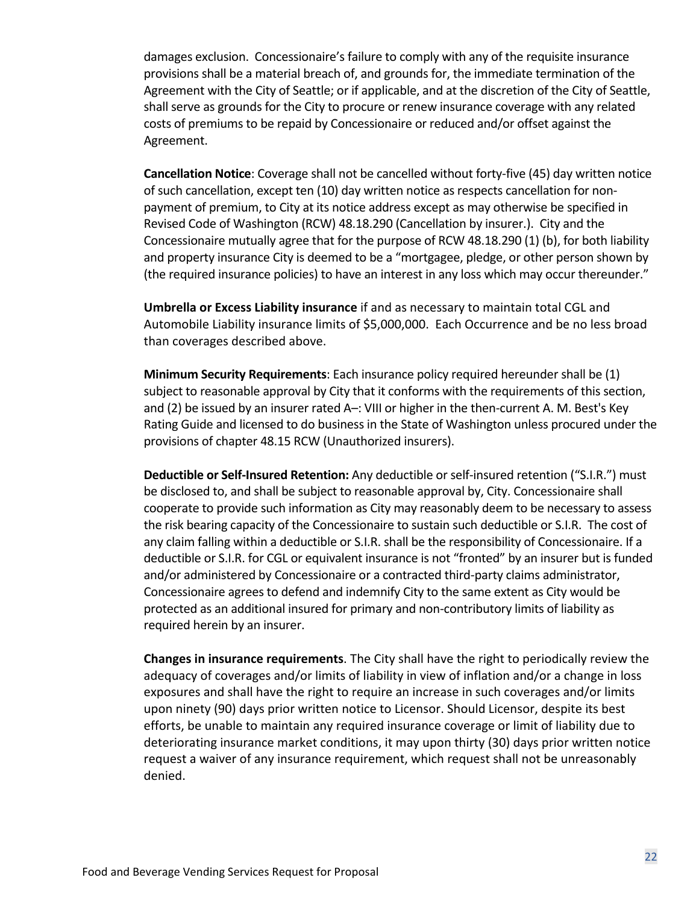damages exclusion. Concessionaire's failure to comply with any of the requisite insurance provisions shall be a material breach of, and grounds for, the immediate termination of the Agreement with the City of Seattle; or if applicable, and at the discretion of the City of Seattle, shall serve as grounds for the City to procure or renew insurance coverage with any related costs of premiums to be repaid by Concessionaire or reduced and/or offset against the Agreement.

**Cancellation Notice**: Coverage shall not be cancelled without forty-five (45) day written notice of such cancellation, except ten (10) day written notice as respects cancellation for nonpayment of premium, to City at its notice address except as may otherwise be specified in Revised Code of Washington (RCW) 48.18.290 (Cancellation by insurer.). City and the Concessionaire mutually agree that for the purpose of RCW 48.18.290 (1) (b), for both liability and property insurance City is deemed to be a "mortgagee, pledge, or other person shown by (the required insurance policies) to have an interest in any loss which may occur thereunder."

**Umbrella or Excess Liability insurance** if and as necessary to maintain total CGL and Automobile Liability insurance limits of \$5,000,000. Each Occurrence and be no less broad than coverages described above.

**Minimum Security Requirements**: Each insurance policy required hereunder shall be (1) subject to reasonable approval by City that it conforms with the requirements of this section, and (2) be issued by an insurer rated A–: VIII or higher in the then-current A. M. Best's Key Rating Guide and licensed to do business in the State of Washington unless procured under the provisions of chapter 48.15 RCW (Unauthorized insurers).

**Deductible or Self-Insured Retention:** Any deductible or self-insured retention ("S.I.R.") must be disclosed to, and shall be subject to reasonable approval by, City. Concessionaire shall cooperate to provide such information as City may reasonably deem to be necessary to assess the risk bearing capacity of the Concessionaire to sustain such deductible or S.I.R. The cost of any claim falling within a deductible or S.I.R. shall be the responsibility of Concessionaire. If a deductible or S.I.R. for CGL or equivalent insurance is not "fronted" by an insurer but is funded and/or administered by Concessionaire or a contracted third-party claims administrator, Concessionaire agrees to defend and indemnify City to the same extent as City would be protected as an additional insured for primary and non-contributory limits of liability as required herein by an insurer.

**Changes in insurance requirements**. The City shall have the right to periodically review the adequacy of coverages and/or limits of liability in view of inflation and/or a change in loss exposures and shall have the right to require an increase in such coverages and/or limits upon ninety (90) days prior written notice to Licensor. Should Licensor, despite its best efforts, be unable to maintain any required insurance coverage or limit of liability due to deteriorating insurance market conditions, it may upon thirty (30) days prior written notice request a waiver of any insurance requirement, which request shall not be unreasonably denied.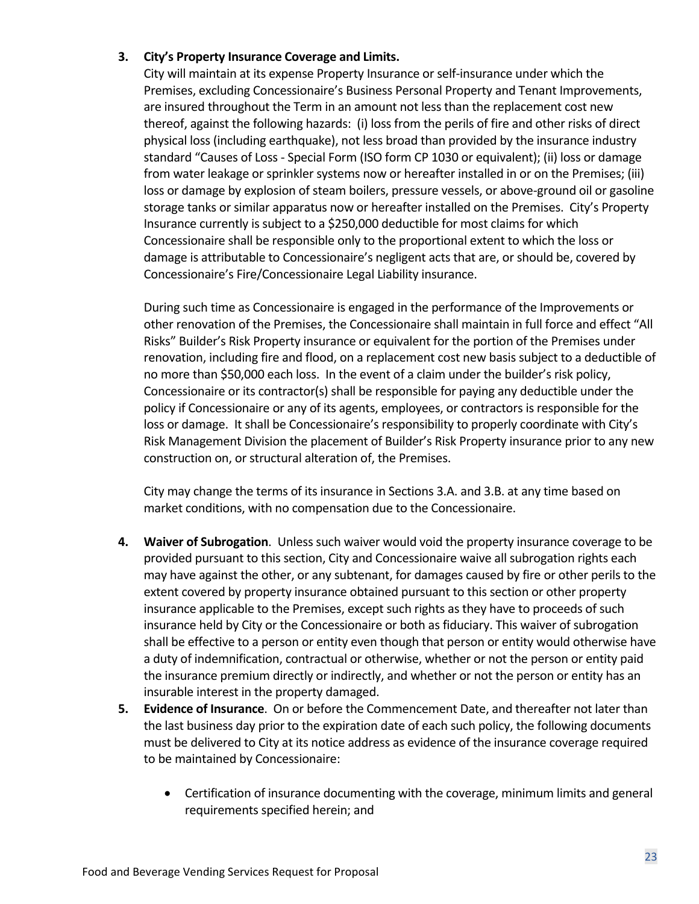#### **3. City's Property Insurance Coverage and Limits.**

City will maintain at its expense Property Insurance or self-insurance under which the Premises, excluding Concessionaire's Business Personal Property and Tenant Improvements, are insured throughout the Term in an amount not less than the replacement cost new thereof, against the following hazards: (i) loss from the perils of fire and other risks of direct physical loss (including earthquake), not less broad than provided by the insurance industry standard "Causes of Loss - Special Form (ISO form CP 1030 or equivalent); (ii) loss or damage from water leakage or sprinkler systems now or hereafter installed in or on the Premises; (iii) loss or damage by explosion of steam boilers, pressure vessels, or above-ground oil or gasoline storage tanks or similar apparatus now or hereafter installed on the Premises. City's Property Insurance currently is subject to a \$250,000 deductible for most claims for which Concessionaire shall be responsible only to the proportional extent to which the loss or damage is attributable to Concessionaire's negligent acts that are, or should be, covered by Concessionaire's Fire/Concessionaire Legal Liability insurance.

During such time as Concessionaire is engaged in the performance of the Improvements or other renovation of the Premises, the Concessionaire shall maintain in full force and effect "All Risks" Builder's Risk Property insurance or equivalent for the portion of the Premises under renovation, including fire and flood, on a replacement cost new basis subject to a deductible of no more than \$50,000 each loss. In the event of a claim under the builder's risk policy, Concessionaire or its contractor(s) shall be responsible for paying any deductible under the policy if Concessionaire or any of its agents, employees, or contractors is responsible for the loss or damage. It shall be Concessionaire's responsibility to properly coordinate with City's Risk Management Division the placement of Builder's Risk Property insurance prior to any new construction on, or structural alteration of, the Premises.

City may change the terms of its insurance in Sections 3.A. and 3.B. at any time based on market conditions, with no compensation due to the Concessionaire.

- **4. Waiver of Subrogation**. Unless such waiver would void the property insurance coverage to be provided pursuant to this section, City and Concessionaire waive all subrogation rights each may have against the other, or any subtenant, for damages caused by fire or other perils to the extent covered by property insurance obtained pursuant to this section or other property insurance applicable to the Premises, except such rights as they have to proceeds of such insurance held by City or the Concessionaire or both as fiduciary. This waiver of subrogation shall be effective to a person or entity even though that person or entity would otherwise have a duty of indemnification, contractual or otherwise, whether or not the person or entity paid the insurance premium directly or indirectly, and whether or not the person or entity has an insurable interest in the property damaged.
- **5. Evidence of Insurance**. On or before the Commencement Date, and thereafter not later than the last business day prior to the expiration date of each such policy, the following documents must be delivered to City at its notice address as evidence of the insurance coverage required to be maintained by Concessionaire:
	- Certification of insurance documenting with the coverage, minimum limits and general requirements specified herein; and